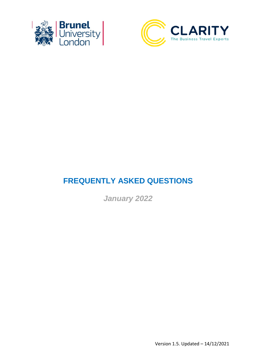



# **FREQUENTLY ASKED QUESTIONS**

*January 2022*

Version 1.5. Updated – 14/12/2021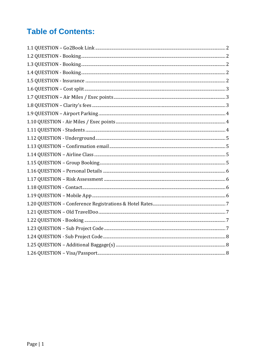# **Table of Contents:**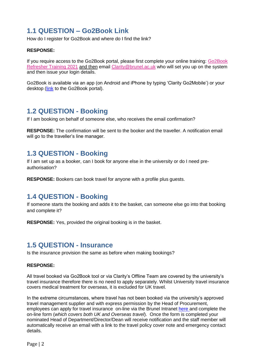## <span id="page-2-0"></span>**1.1 QUESTION – Go2Book Link**

How do I register for Go2Book and where do I find the link?

#### **RESPONSE:**

If you require access to the Go2Book portal, please first complete your online training: [Go2Book](https://www.youtube.com/watch?v=I7iTpFjrULU)  [Refresher Training 2021](https://www.youtube.com/watch?v=I7iTpFjrULU) and then email [Clarity@brunel.ac.uk](mailto:Clarity@brunel.ac.uk) who will set you up on the system and then issue your login details.

Go2Book is available via an app (on Android and iPhone by typing 'Clarity Go2Mobile') or your desktop [\(link](https://www.go2book.travel/) to the Go2Book portal).

#### <span id="page-2-1"></span>**1.2 QUESTION - Booking**

If I am booking on behalf of someone else, who receives the email confirmation?

**RESPONSE:** The confirmation will be sent to the booker and the traveller. A notification email will go to the traveller's line manager.

#### <span id="page-2-2"></span>**1.3 QUESTION - Booking**

If I am set up as a booker, can I book for anyone else in the university or do I need preauthorisation?

**RESPONSE:** Bookers can book travel for anyone with a profile plus guests.

#### <span id="page-2-3"></span>**1.4 QUESTION - Booking**

If someone starts the booking and adds it to the basket, can someone else go into that booking and complete it?

**RESPONSE:** Yes, provided the original booking is in the basket.

#### <span id="page-2-4"></span>**1.5 QUESTION - Insurance**

Is the insurance provision the same as before when making bookings?

#### **RESPONSE:**

All travel booked via Go2Book tool or via Clarity's Offline Team are covered by the university's travel insurance therefore there is no need to apply separately. Whilst University travel insurance covers medical treatment for overseas, it is excluded for UK travel.

In the extreme circumstances, where travel has not been booked via the university's approved travel management supplier and with express permission by the Head of Procurement, employees can apply for travel insurance on-line via the Brunel Intranet [here](https://intra.brunel.ac.uk/s/planning/travel/Pages/default.aspx#/) and complete the on-line form (*which covers both UK and Overseas travel*). Once the form is completed your nominated Head of Department/Director/Dean will receive notification and the staff member will automatically receive an email with a link to the travel policy cover note and emergency contact details.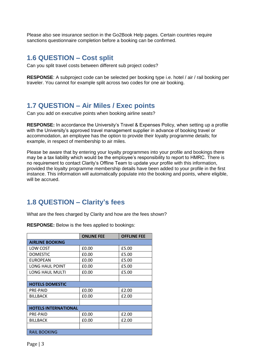Please also see insurance section in the Go2Book Help pages. Certain countries require sanctions questionnaire completion before a booking can be confirmed.

### <span id="page-3-0"></span>**1.6 QUESTION – Cost split**

Can you split travel costs between different sub project codes?

**RESPONSE**: A subproject code can be selected per booking type i.e. hotel / air / rail booking per traveler. You cannot for example split across two codes for one air booking.

### <span id="page-3-1"></span>**1.7 QUESTION – Air Miles / Exec points**

Can you add on executive points when booking airline seats?

**RESPONSE:** In accordance the University's Travel & Expenses Policy, when setting up a profile with the University's approved travel management supplier in advance of booking travel or accommodation, an employee has the option to provide their loyalty programme details; for example, in respect of membership to air miles.

Please be aware that by entering your loyalty programmes into your profile and bookings there may be a tax liability which would be the employee's responsibility to report to HMRC. There is no requirement to contact Clarity's Offline Team to update your profile with this information, provided the loyalty programme membership details have been added to your profile in the first instance. This information will automatically populate into the booking and points, where eligible, will be accrued.

# <span id="page-3-2"></span>**1.8 QUESTION – Clarity's fees**

What are the fees charged by Clarity and how are the fees shown?

**RESPONSE:** Below is the fees applied to bookings:

|                             | <b>ONLINE FEE</b> | <b>OFFLINE FEE</b> |  |  |
|-----------------------------|-------------------|--------------------|--|--|
| <b>AIRLINE BOOKING</b>      |                   |                    |  |  |
| LOW COST                    | £0.00             | £5.00              |  |  |
| <b>DOMESTIC</b>             | £0.00             | £5.00              |  |  |
| <b>EUROPEAN</b>             | £0.00             | £5.00              |  |  |
| <b>LONG HAUL POINT</b>      | £0.00             | £5.00              |  |  |
| LONG HAUL MULTI             | £0.00             | £5.00              |  |  |
|                             |                   |                    |  |  |
| <b>HOTELS DOMESTIC</b>      |                   |                    |  |  |
| PRE-PAID                    | £0.00             | £2.00              |  |  |
| <b>BILLBACK</b>             | £0.00             | £2.00              |  |  |
|                             |                   |                    |  |  |
| <b>HOTELS INTERNATIONAL</b> |                   |                    |  |  |
| <b>PRE-PAID</b>             | £0.00             | £2.00              |  |  |
| <b>BILLBACK</b>             | £0.00             | £2.00              |  |  |
|                             |                   |                    |  |  |
| <b>RAIL BOOKING</b>         |                   |                    |  |  |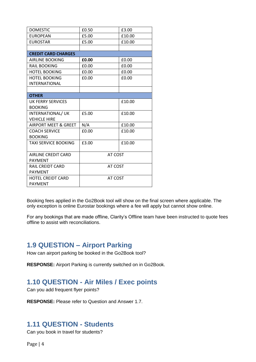| <b>DOMESTIC</b>                 | £0.50   | £3.00  |  |
|---------------------------------|---------|--------|--|
| <b>EUROPEAN</b>                 | £5.00   | £10.00 |  |
| <b>EUROSTAR</b>                 | £5.00   | £10.00 |  |
|                                 |         |        |  |
| <b>CREDIT CARD CHARGES</b>      |         |        |  |
| <b>AIRLINE BOOKING</b>          | £0.00   | £0.00  |  |
| <b>RAIL BOOKING</b>             | £0.00   | £0.00  |  |
| <b>HOTEL BOOKING</b>            | £0.00   | £0.00  |  |
| <b>HOTEL BOOKING</b>            | £0.00   | £0.00  |  |
| <b>INTERNATIONAL</b>            |         |        |  |
|                                 |         |        |  |
| <b>OTHER</b>                    |         |        |  |
| <b>UK FERRY SERVICES</b>        |         | £10.00 |  |
| <b>BOOKING</b>                  |         |        |  |
| INTERNATIONAL/ UK               | £5.00   | £10.00 |  |
| <b>VEHICLE HIRE</b>             |         |        |  |
| <b>AIRPORT MEET &amp; GREET</b> | N/A     | £10.00 |  |
| <b>COACH SERVICE</b>            | £0.00   | £10.00 |  |
| <b>BOOKING</b>                  |         |        |  |
| <b>TAXI SERVICE BOOKING</b>     | £3.00   | £10.00 |  |
|                                 |         |        |  |
| AIRLINE CREDIT CARD             | AT COST |        |  |
| <b>PAYMENT</b>                  |         |        |  |
| <b>RAIL CREIDT CARD</b>         | AT COST |        |  |
| <b>PAYMENT</b>                  |         |        |  |
| <b>HOTEL CREIDT CARD</b>        | AT COST |        |  |
| <b>PAYMENT</b>                  |         |        |  |

Booking fees applied in the Go2Book tool will show on the final screen where applicable. The only exception is online Eurostar bookings where a fee will apply but cannot show online.

For any bookings that are made offline, Clarity's Offline team have been instructed to quote fees offline to assist with reconciliations.

#### <span id="page-4-0"></span>**1.9 QUESTION – Airport Parking**

How can airport parking be booked in the Go2Book tool?

**RESPONSE:** Airport Parking is currently switched on in Go2Book.

#### <span id="page-4-1"></span>**1.10 QUESTION - Air Miles / Exec points**

Can you add frequent flyer points?

**RESPONSE:** Please refer to Question and Answer 1.7.

### <span id="page-4-2"></span>**1.11 QUESTION - Students**

Can you book in travel for students?

Page | 4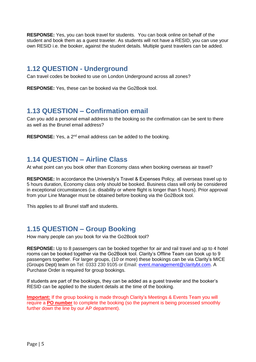**RESPONSE:** Yes, you can book travel for students. You can book online on behalf of the student and book them as a guest traveler. As students will not have a RESID, you can use your own RESID i.e. the booker, against the student details. Multiple guest travelers can be added.

#### <span id="page-5-0"></span>**1.12 QUESTION - Underground**

Can travel codes be booked to use on London Underground across all zones?

**RESPONSE:** Yes, these can be booked via the Go2Book tool.

## <span id="page-5-1"></span>**1.13 QUESTION – Confirmation email**

Can you add a personal email address to the booking so the confirmation can be sent to there as well as the Brunel email address?

**RESPONSE:** Yes, a 2<sup>nd</sup> email address can be added to the booking.

#### <span id="page-5-2"></span>**1.14 QUESTION – Airline Class**

At what point can you book other than Economy class when booking overseas air travel?

**RESPONSE:** In accordance the University's Travel & Expenses Policy, all overseas travel up to 5 hours duration, Economy class only should be booked. Business class will only be considered in exceptional circumstances (i.e. disability or where flight is longer than 5 hours). Prior approval from your Line Manager must be obtained before booking via the Go2Book tool.

This applies to all Brunel staff and students.

### <span id="page-5-3"></span>**1.15 QUESTION – Group Booking**

How many people can you book for via the Go2Book tool?

**RESPONSE:** Up to 8 passengers can be booked together for air and rail travel and up to 4 hotel rooms can be booked together via the Go2Book tool. Clarity's Offline Team can book up to 9 passengers together. For larger groups, (10 or more) these bookings can be via Clarity's MICE (Groups Dept) team on Tel: 0333 230 9105 or Email: [event.management@claritybt.com.](mailto:event.management@claritybt.com.A) A Purchase Order is required for group bookings.

If students are part of the bookings, they can be added as a guest traveler and the booker's RESID can be applied to the student details at the time of the booking.

**Important:** If the group booking is made through Clarity's Meetings & Events Team you will require a **PO number** to complete the booking (so the payment is being processed smoothly further down the line by our AP department).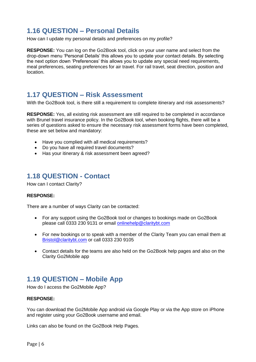## <span id="page-6-0"></span>**1.16 QUESTION – Personal Details**

How can I update my personal details and preferences on my profile?

**RESPONSE:** You can log on the Go2Book tool, click on your user name and select from the drop-down menu 'Personal Details' this allows you to update your contact details. By selecting the next option down 'Preferences' this allows you to update any special need requirements, meal preferences, seating preferences for air travel. For rail travel, seat direction, position and location.

### <span id="page-6-1"></span>**1.17 QUESTION – Risk Assessment**

With the Go2Book tool, is there still a requirement to complete itinerary and risk assessments?

**RESPONSE:** Yes, all existing risk assessment are still required to be completed in accordance with Brunel travel insurance policy. In the Go2Book tool, when booking flights, there will be a series of questions asked to ensure the necessary risk assessment forms have been completed, these are set below and mandatory:

- Have you complied with all medical requirements?
- Do you have all required travel documents?
- Has your itinerary & risk assessment been agreed?

# <span id="page-6-2"></span>**1.18 QUESTION - Contact**

How can I contact Clarity?

#### **RESPONSE:**

There are a number of ways Clarity can be contacted:

- For any support using the Go2Book tool or changes to bookings made on Go2Book please call 0333 230 9131 or email [onlinehelp@claritybt.com](mailto:onlinehelp@claritybt.com)
- For new bookings or to speak with a member of the Clarity Team you can email them at [Bristol@claritybt.com](mailto:Bristol@claritybt.com) or call 0333 230 9105
- Contact details for the teams are also held on the Go2Book help pages and also on the Clarity Go2Mobile app

# <span id="page-6-3"></span>**1.19 QUESTION – Mobile App**

How do I access the Go2Mobile App?

#### **RESPONSE:**

You can download the Go2Mobile App android via Google Play or via the App store on iPhone and register using your Go2Book username and email.

Links can also be found on the Go2Book Help Pages.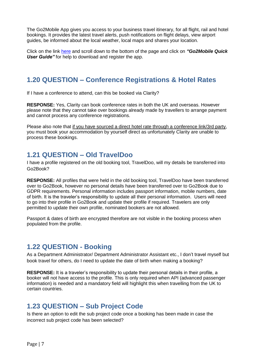The Go2Mobile App gives you access to your business travel itinerary, for all flight, rail and hotel bookings. It provides the latest travel alerts, push notifications on flight delays, view airport guides, be informed about the local weather, local maps and shares your location.

Click on the link [here](https://claritybusinesstravel.com/what-we-do/go2mobile) and scroll down to the bottom of the page and click on *"Go2Mobile Quick User Guide"* for help to download and register the app.

# <span id="page-7-0"></span>**1.20 QUESTION – Conference Registrations & Hotel Rates**

If I have a conference to attend, can this be booked via Clarity?

**RESPONSE:** Yes, Clarity can book conference rates in both the UK and overseas. However please note that they cannot take over bookings already made by travellers to arrange payment and cannot process any conference registrations.

Please also note that if you have sourced a direct hotel rate through a conference link/3rd party, you must book your accommodation by yourself direct as unfortunately Clarity are unable to process these bookings.

### <span id="page-7-1"></span>**1.21 QUESTION – Old TravelDoo**

I have a profile registered on the old booking tool, TravelDoo, will my details be transferred into Go2Book?

**RESPONSE:** All profiles that were held in the old booking tool, TravelDoo have been transferred over to Go2Book, however no personal details have been transferred over to Go2Book due to GDPR requirements. Personal information includes passport information, mobile numbers, date of birth. It is the traveler's responsibility to update all their personal information. Users will need to go into their profile in Go2Book and update their profile if required. Travelers are only permitted to update their own profile, nominated bookers are not allowed.

Passport & dates of birth are encrypted therefore are not visible in the booking process when populated from the profile.

### <span id="page-7-2"></span>**1.22 QUESTION - Booking**

As a Department Administrator/ Department Administrator Assistant etc., I don't travel myself but book travel for others, do I need to update the date of birth when making a booking?

**RESPONSE:** It is a traveler's responsibility to update their personal details in their profile, a booker will not have access to the profile. This is only required when API (advanced passenger information) is needed and a mandatory field will highlight this when travelling from the UK to certain countries.

### <span id="page-7-3"></span>**1.23 QUESTION – Sub Project Code**

Is there an option to edit the sub project code once a booking has been made in case the incorrect sub project code has been selected?